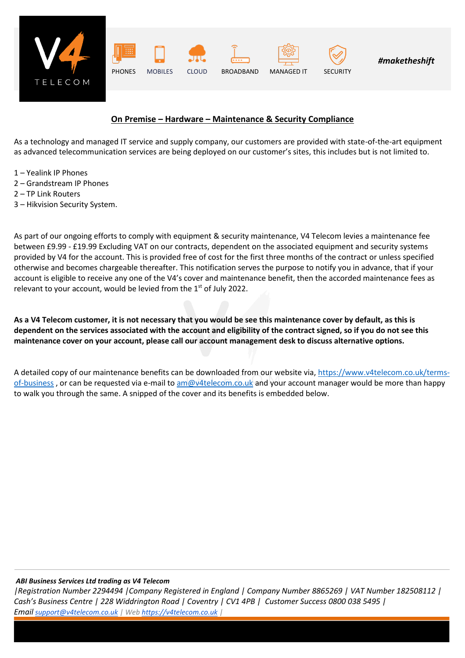

## **On Premise – Hardware – Maintenance & Security Compliance**

As a technology and managed IT service and supply company, our customers are provided with state-of-the-art equipment as advanced telecommunication services are being deployed on our customer's sites, this includes but is not limited to.

- 1 Yealink IP Phones
- 2 Grandstream IP Phones
- 2 TP Link Routers
- 3 Hikvision Security System.

As part of our ongoing efforts to comply with equipment & security maintenance, V4 Telecom levies a maintenance fee between £9.99 - £19.99 Excluding VAT on our contracts, dependent on the associated equipment and security systems provided by V4 for the account. This is provided free of cost for the first three months of the contract or unless specified otherwise and becomes chargeable thereafter. This notification serves the purpose to notify you in advance, that if your account is eligible to receive any one of the V4's cover and maintenance benefit, then the accorded maintenance fees as relevant to your account, would be levied from the  $1<sup>st</sup>$  of July 2022.

**As a V4 Telecom customer, it is not necessary that you would be see this maintenance cover by default, as this is dependent on the services associated with the account and eligibility of the contract signed, so if you do not see this maintenance cover on your account, please call our account management desk to discuss alternative options.**

A detailed copy of our maintenance benefits can be downloaded from our website via, [https://www.v4telecom.co.uk/terms](https://www.v4telecom.co.uk/terms-of-business)[of-business](https://www.v4telecom.co.uk/terms-of-business), or can be requested via e-mail to [am@v4telecom.co.uk](mailto:am@v4telecom.co.uk) and your account manager would be more than happy to walk you through the same. A snipped of the cover and its benefits is embedded below.

## *ABI Business Services Ltd trading as V4 Telecom*

*|Registration Number 2294494 |Company Registered in England | Company Number 8865269 | VAT Number 182508112 | Cash's Business Centre | 228 Widdrington Road | Coventry | CV1 4PB | Customer Success 0800 038 5495 | Email [support@v4telecom.co.uk](mailto:support@v4telecom.co.uk) | Web [https://v4telecom.co.uk](https://v4telecom.co.uk/) |*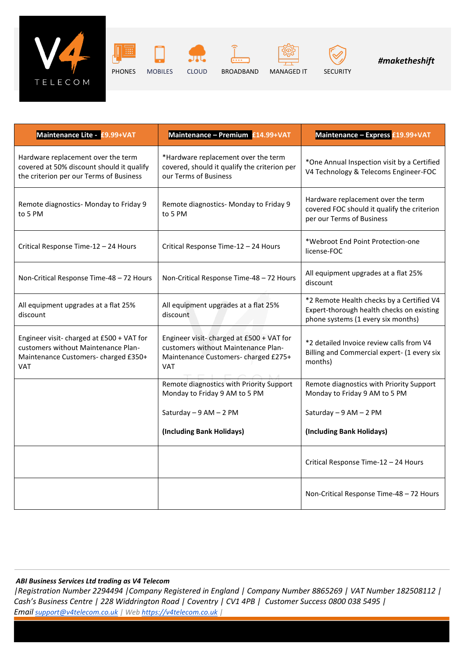

PHONES MOBILES CLOUD BROADBAND MANAGED IT SECURITY





*#maketheshift*

| Maintenance Lite - £9.99+VAT                                                                                                           | Maintenance - Premium £14.99+VAT                                                                                                       | Maintenance - Express £19.99+VAT                                                                                             |
|----------------------------------------------------------------------------------------------------------------------------------------|----------------------------------------------------------------------------------------------------------------------------------------|------------------------------------------------------------------------------------------------------------------------------|
| Hardware replacement over the term<br>covered at 50% discount should it qualify<br>the criterion per our Terms of Business             | *Hardware replacement over the term<br>covered, should it qualify the criterion per<br>our Terms of Business                           | *One Annual Inspection visit by a Certified<br>V4 Technology & Telecoms Engineer-FOC                                         |
| Remote diagnostics- Monday to Friday 9<br>to 5 PM                                                                                      | Remote diagnostics- Monday to Friday 9<br>to 5 PM                                                                                      | Hardware replacement over the term<br>covered FOC should it qualify the criterion<br>per our Terms of Business               |
| Critical Response Time-12 - 24 Hours                                                                                                   | Critical Response Time-12 - 24 Hours                                                                                                   | *Webroot End Point Protection-one<br>license-FOC                                                                             |
| Non-Critical Response Time-48 - 72 Hours                                                                                               | Non-Critical Response Time-48 - 72 Hours                                                                                               | All equipment upgrades at a flat 25%<br>discount                                                                             |
| All equipment upgrades at a flat 25%<br>discount                                                                                       | All equipment upgrades at a flat 25%<br>discount                                                                                       | *2 Remote Health checks by a Certified V4<br>Expert-thorough health checks on existing<br>phone systems (1 every six months) |
| Engineer visit- charged at £500 + VAT for<br>customers without Maintenance Plan-<br>Maintenance Customers- charged £350+<br><b>VAT</b> | Engineer visit- charged at £500 + VAT for<br>customers without Maintenance Plan-<br>Maintenance Customers- charged £275+<br><b>VAT</b> | *2 detailed Invoice review calls from V4<br>Billing and Commercial expert- (1 every six<br>months)                           |
|                                                                                                                                        | Remote diagnostics with Priority Support<br>Monday to Friday 9 AM to 5 PM                                                              | Remote diagnostics with Priority Support<br>Monday to Friday 9 AM to 5 PM                                                    |
|                                                                                                                                        | Saturday - 9 AM - 2 PM                                                                                                                 | Saturday - 9 AM - 2 PM                                                                                                       |
|                                                                                                                                        | (Including Bank Holidays)                                                                                                              | (Including Bank Holidays)                                                                                                    |
|                                                                                                                                        |                                                                                                                                        | Critical Response Time-12 - 24 Hours                                                                                         |
|                                                                                                                                        |                                                                                                                                        | Non-Critical Response Time-48 - 72 Hours                                                                                     |

## *ABI Business Services Ltd trading as V4 Telecom*

*|Registration Number 2294494 |Company Registered in England | Company Number 8865269 | VAT Number 182508112 | Cash's Business Centre | 228 Widdrington Road | Coventry | CV1 4PB | Customer Success 0800 038 5495 | Email [support@v4telecom.co.uk](mailto:support@v4telecom.co.uk) | Web [https://v4telecom.co.uk](https://v4telecom.co.uk/) |*